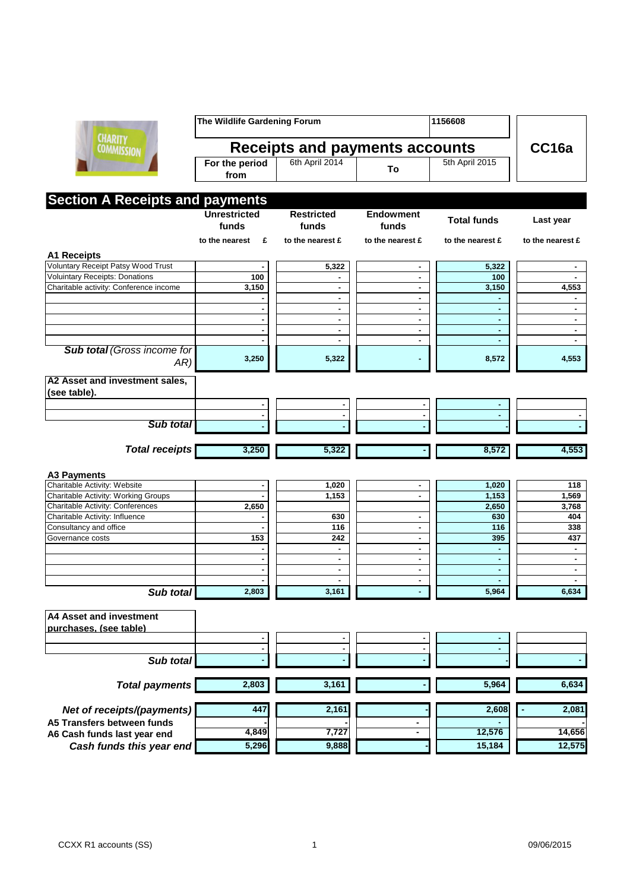

| <b>The Wildlife Gardening Forum</b> |                   |    | 1156608        |  |
|-------------------------------------|-------------------|----|----------------|--|
| Receipts and payments accounts      | CC <sub>16a</sub> |    |                |  |
| For the period<br>from              | 6th April 2014    | Τo | 5th April 2015 |  |

## **Section A Receipts and payments**

|                                           | <b>Unrestricted</b> | <b>Restricted</b> | <b>Endowment</b>    |                    |                  |
|-------------------------------------------|---------------------|-------------------|---------------------|--------------------|------------------|
|                                           | funds               | funds             | funds               | <b>Total funds</b> | Last year        |
|                                           | to the nearest<br>£ | to the nearest £  | to the nearest £    | to the nearest £   | to the nearest £ |
| <b>A1 Receipts</b>                        |                     |                   |                     |                    |                  |
| Voluntary Receipt Patsy Wood Trust        |                     | 5,322             | ٠                   | 5,322              |                  |
| <b>Voluintary Receipts: Donations</b>     | 100                 |                   | ٠                   | 100                | ٠                |
| Charitable activity: Conference income    | 3,150               |                   |                     | 3,150              | 4,553            |
|                                           |                     | ٠                 | $\blacksquare$      |                    | ٠                |
|                                           | ä,                  | $\overline{a}$    | ÷.                  | ÷                  | ÷.               |
|                                           |                     | $\blacksquare$    | $\blacksquare$      | ٠                  | $\blacksquare$   |
|                                           |                     | $\blacksquare$    | $\blacksquare$      | $\sim$             | $\blacksquare$   |
|                                           |                     | $\blacksquare$    | $\blacksquare$      | ä,                 | $\blacksquare$   |
| <b>Sub total (Gross income for</b><br>AR) | 3,250               | 5,322             |                     | 8,572              | 4,553            |
| A2 Asset and investment sales,            |                     |                   |                     |                    |                  |
| (see table).                              |                     |                   |                     |                    |                  |
|                                           | $\blacksquare$      | $\blacksquare$    |                     |                    |                  |
|                                           |                     |                   | $\blacksquare$      | ٠                  |                  |
| <b>Sub total</b>                          | $\blacksquare$      | $\blacksquare$    | $\blacksquare$      | ٠                  |                  |
|                                           |                     |                   |                     |                    |                  |
| <b>Total receipts</b>                     | 3,250               | 5,322             |                     | 8,572              | 4,553            |
|                                           |                     |                   |                     |                    |                  |
| <b>A3 Payments</b>                        |                     |                   |                     |                    |                  |
| Charitable Activity: Website              |                     | 1,020             | $\blacksquare$      | 1,020              | 118              |
| Charitable Activity: Working Groups       |                     | 1,153             | $\blacksquare$      | 1,153              | 1,569            |
| Charitable Activity: Conferences          | 2,650               |                   |                     | 2,650              | 3,768            |
| Charitable Activity: Influence            |                     | 630               | ٠                   | 630                | 404              |
| Consultancy and office                    |                     | 116               | ÷.                  | 116                | 338              |
| Governance costs                          | 153                 | 242               | $\blacksquare$      | 395                | 437              |
|                                           |                     | ٠                 | ٠                   | ٠                  | $\blacksquare$   |
|                                           | ä,                  | ٠                 | $\blacksquare$      | ä,                 | $\blacksquare$   |
|                                           | ä,                  | ä,                | ٠                   | ä,                 | $\blacksquare$   |
|                                           |                     | ä,                | ÷.                  | ä,                 | $\mathbf{r}$     |
| Sub total                                 | 2,803               | 3,161             |                     | 5,964              | 6,634            |
| <b>A4 Asset and investment</b>            |                     |                   |                     |                    |                  |
| purchases. (see table)                    |                     |                   |                     |                    |                  |
|                                           | ٠                   |                   | ٠                   |                    |                  |
|                                           | $\blacksquare$      |                   | $\blacksquare$      | ä,                 |                  |
| Sub total                                 |                     |                   |                     |                    |                  |
|                                           |                     |                   |                     |                    |                  |
| <b>Total payments</b>                     | 2,803               | 3,161             |                     | 5,964              | 6,634            |
| Net of receipts/(payments)                | 447                 | 2,161             |                     | 2,608              | 2,081            |
|                                           |                     |                   |                     |                    |                  |
| A5 Transfers between funds                | 4,849               | 7,727             | ٠<br>$\blacksquare$ | 12,576             | 14,656           |
| A6 Cash funds last year end               |                     |                   |                     |                    |                  |
| Cash funds this year end                  | 5,296               | 9,888             |                     | 15,184             | 12,575           |

**Cash funds this year end**